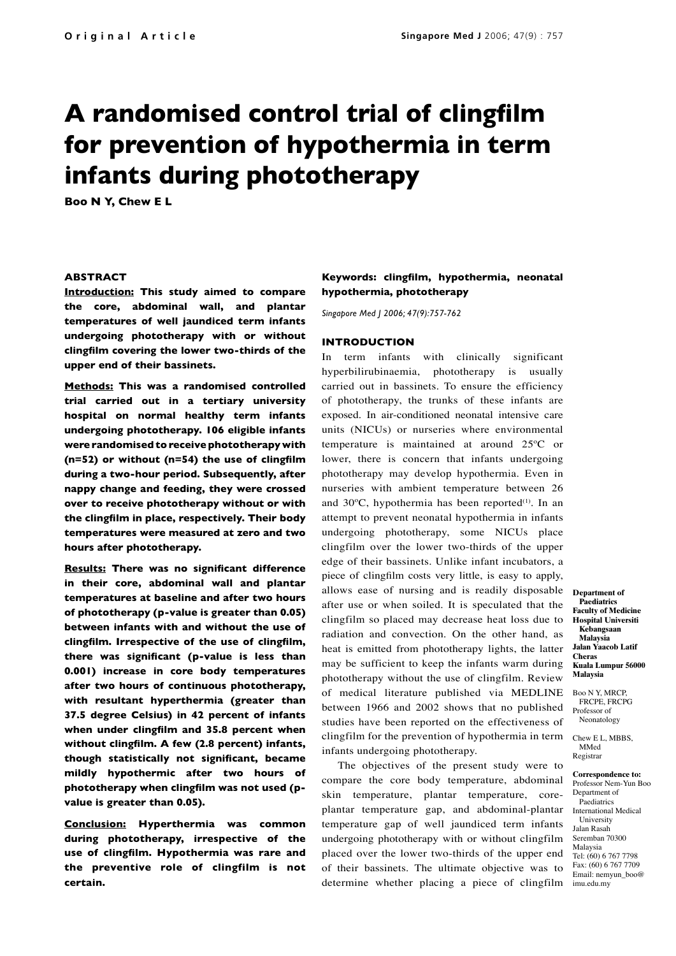# **A randomised control trial of clingfilm for prevention of hypothermia in term infants during phototherapy**

**Boo N Y, Chew E L**

# **ABSTRACT**

**Introduction: This study aimed to compare the core, abdominal wall, and plantar temperatures of well jaundiced term infants undergoing phototherapy with or without clingfilm covering the lower two-thirds of the upper end of their bassinets.**

**Methods: This was a randomised controlled trial carried out in a tertiary university hospital on normal healthy term infants undergoing phototherapy. 106 eligible infants were randomised to receive phototherapy with (n=52) or without (n=54) the use of clingfilm during a two-hour period. Subsequently, after nappy change and feeding, they were crossed over to receive phototherapy without or with the clingfilm in place, respectively. Their body temperatures were measured at zero and two hours after phototherapy.** 

**Results: There was no significant difference in their core, abdominal wall and plantar temperatures at baseline and after two hours of phototherapy (p-value is greater than 0.05) between infants with and without the use of clingfilm. Irrespective of the use of clingfilm, there was significant (p-value is less than 0.001) increase in core body temperatures after two hours of continuous phototherapy, with resultant hyperthermia (greater than 37.5 degree Celsius) in 42 percent of infants when under clingfilm and 35.8 percent when without clingfilm. A few (2.8 percent) infants, though statistically not significant, became mildly hypothermic after two hours of phototherapy when clingfilm was not used (pvalue is greater than 0.05).** 

**Conclusion: Hyperthermia was common during phototherapy, irrespective of the use of clingfilm. Hypothermia was rare and the preventive role of clingfilm is not certain.** 

# **Keywords: clingfilm, hypothermia, neonatal hypothermia, phototherapy**

*Singapore Med J 2006; 47(9):757-762*

# **INTRODUCTION**

In term infants with clinically significant hyperbilirubinaemia, phototherapy is usually carried out in bassinets. To ensure the efficiency of phototherapy, the trunks of these infants are exposed. In air-conditioned neonatal intensive care units (NICUs) or nurseries where environmental temperature is maintained at around 25ºC or lower, there is concern that infants undergoing phototherapy may develop hypothermia. Even in nurseries with ambient temperature between 26 and 30°C, hypothermia has been reported<sup>(1)</sup>. In an attempt to prevent neonatal hypothermia in infants undergoing phototherapy, some NICUs place clingfilm over the lower two-thirds of the upper edge of their bassinets. Unlike infant incubators, a piece of clingfilm costs very little, is easy to apply, allows ease of nursing and is readily disposable after use or when soiled. It is speculated that the clingfilm so placed may decrease heat loss due to radiation and convection. On the other hand, as heat is emitted from phototherapy lights, the latter may be sufficient to keep the infants warm during phototherapy without the use of clingfilm. Review of medical literature published via MEDLINE between 1966 and 2002 shows that no published studies have been reported on the effectiveness of clingfilm for the prevention of hypothermia in term infants undergoing phototherapy.

The objectives of the present study were to compare the core body temperature, abdominal skin temperature, plantar temperature, coreplantar temperature gap, and abdominal-plantar temperature gap of well jaundiced term infants undergoing phototherapy with or without clingfilm placed over the lower two-thirds of the upper end of their bassinets. The ultimate objective was to determine whether placing a piece of clingfilm

**Department of Paediatrics Faculty of Medicine Hospital Universiti Kebangsaan Malaysia Jalan Yaacob Latif Cheras Kuala Lumpur 56000 Malaysia**

Boo N Y, MRCP, FRCPE, FRCPG Professor of **Neonatology** 

Chew E L, MBBS, MMed Registrar

**Correspondence to:** Professor Nem-Yun Boo Department of Paediatrics International Medical University Jalan Rasah Seremban 70300 Malaysia Tel: (60) 6 767 7798 Fax: (60) 6 767 7709 Email: nemyun\_boo@ imu.edu.my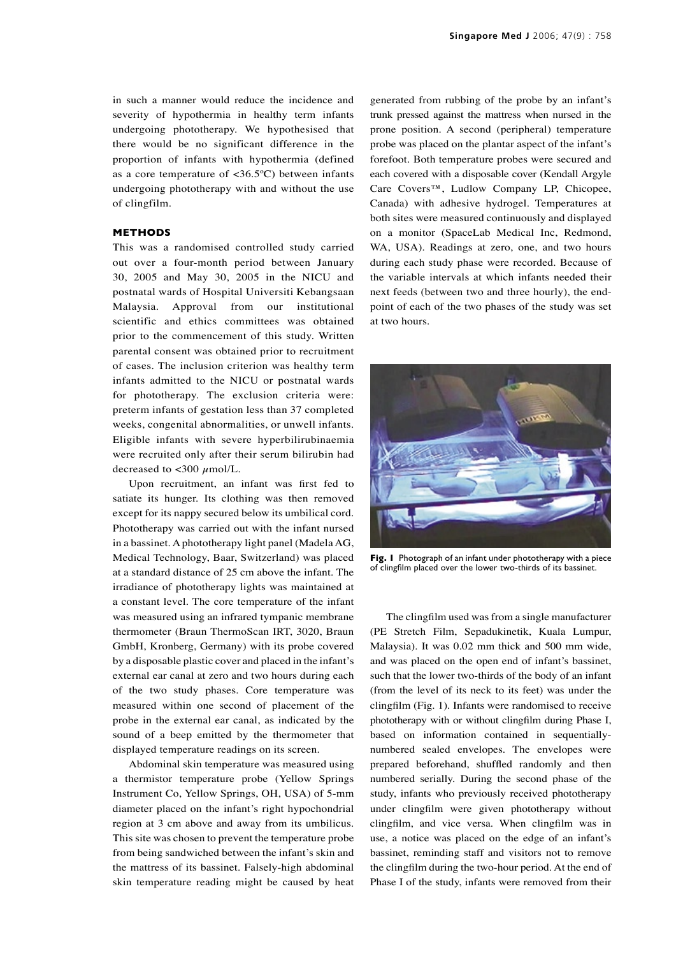in such a manner would reduce the incidence and severity of hypothermia in healthy term infants undergoing phototherapy. We hypothesised that there would be no significant difference in the proportion of infants with hypothermia (defined as a core temperature of  $\langle 36.5^{\circ} \text{C} \rangle$  between infants undergoing phototherapy with and without the use of clingfilm.

## **METHODS**

This was a randomised controlled study carried out over a four-month period between January 30, 2005 and May 30, 2005 in the NICU and postnatal wards of Hospital Universiti Kebangsaan Malaysia. Approval from our institutional scientific and ethics committees was obtained prior to the commencement of this study. Written parental consent was obtained prior to recruitment of cases. The inclusion criterion was healthy term infants admitted to the NICU or postnatal wards for phototherapy. The exclusion criteria were: preterm infants of gestation less than 37 completed weeks, congenital abnormalities, or unwell infants. Eligible infants with severe hyperbilirubinaemia were recruited only after their serum bilirubin had decreased to  $\langle 300 \mu \text{mol/L.} \rangle$ 

Upon recruitment, an infant was first fed to satiate its hunger. Its clothing was then removed except for its nappy secured below its umbilical cord. Phototherapy was carried out with the infant nursed in a bassinet. A phototherapy light panel (Madela AG, Medical Technology, Baar, Switzerland) was placed at a standard distance of 25 cm above the infant. The irradiance of phototherapy lights was maintained at a constant level. The core temperature of the infant was measured using an infrared tympanic membrane thermometer (Braun ThermoScan IRT, 3020, Braun GmbH, Kronberg, Germany) with its probe covered by a disposable plastic cover and placed in the infant's external ear canal at zero and two hours during each of the two study phases. Core temperature was measured within one second of placement of the probe in the external ear canal, as indicated by the sound of a beep emitted by the thermometer that displayed temperature readings on its screen.

Abdominal skin temperature was measured using a thermistor temperature probe (Yellow Springs Instrument Co, Yellow Springs, OH, USA) of 5-mm diameter placed on the infant's right hypochondrial region at 3 cm above and away from its umbilicus. This site was chosen to prevent the temperature probe from being sandwiched between the infant's skin and the mattress of its bassinet. Falsely-high abdominal skin temperature reading might be caused by heat generated from rubbing of the probe by an infant's trunk pressed against the mattress when nursed in the prone position. A second (peripheral) temperature probe was placed on the plantar aspect of the infant's forefoot. Both temperature probes were secured and each covered with a disposable cover (Kendall Argyle Care Covers™, Ludlow Company LP, Chicopee, Canada) with adhesive hydrogel. Temperatures at both sites were measured continuously and displayed on a monitor (SpaceLab Medical Inc, Redmond, WA, USA). Readings at zero, one, and two hours during each study phase were recorded. Because of the variable intervals at which infants needed their next feeds (between two and three hourly), the endpoint of each of the two phases of the study was set at two hours.



**Fig. 1** Photograph of an infant under phototherapy with a piece of clingfilm placed over the lower two-thirds of its bassinet.

The clingfilm used was from a single manufacturer (PE Stretch Film, Sepadukinetik, Kuala Lumpur, Malaysia). It was 0.02 mm thick and 500 mm wide, and was placed on the open end of infant's bassinet, such that the lower two-thirds of the body of an infant (from the level of its neck to its feet) was under the clingfilm (Fig. 1). Infants were randomised to receive phototherapy with or without clingfilm during Phase I, based on information contained in sequentiallynumbered sealed envelopes. The envelopes were prepared beforehand, shuffled randomly and then numbered serially. During the second phase of the study, infants who previously received phototherapy under clingfilm were given phototherapy without clingfilm, and vice versa. When clingfilm was in use, a notice was placed on the edge of an infant's bassinet, reminding staff and visitors not to remove the clingfilm during the two-hour period. At the end of Phase I of the study, infants were removed from their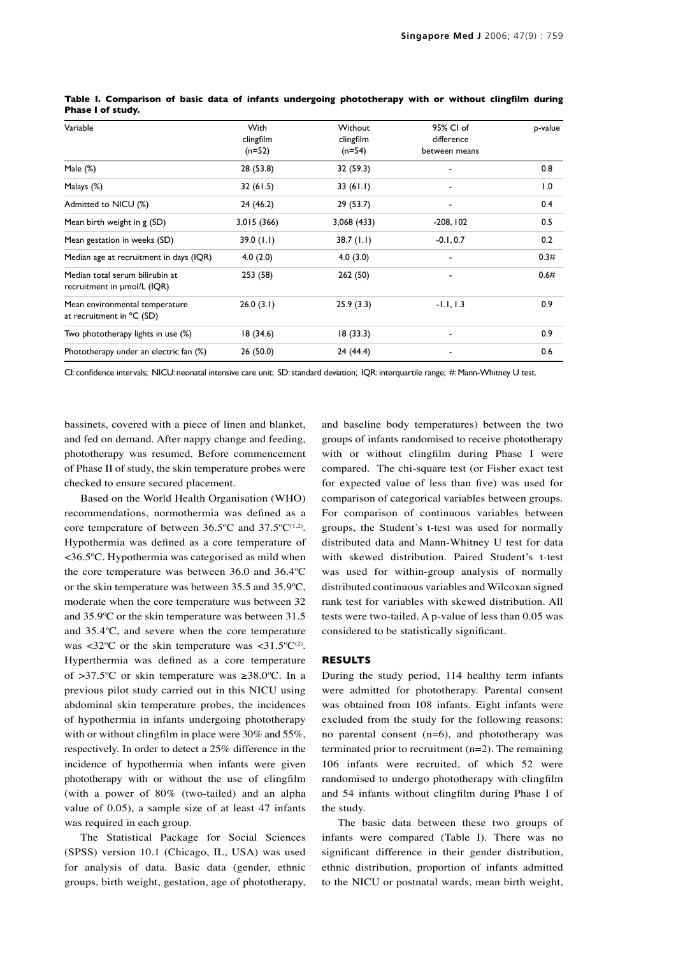| Variable                                                       | <b>With</b><br>clingfilm<br>$(n=52)$ | Without<br>clingfilm<br>$(n=54)$ | 95% CI of<br>difference<br>between means | p-value |
|----------------------------------------------------------------|--------------------------------------|----------------------------------|------------------------------------------|---------|
| Male $(\%)$                                                    | 28 (53.8)                            | 32 (59.3)                        |                                          | 0.8     |
| Malays (%)                                                     | 32(61.5)                             | 33(61.1)                         |                                          | 1.0     |
| Admitted to NICU (%)                                           | 24 (46.2)                            | 29(53.7)                         |                                          | 0.4     |
| Mean birth weight in g (SD)                                    | 3,015 (366)                          | 3,068 (433)                      | $-208, 102$                              | 0.5     |
| Mean gestation in weeks (SD)                                   | 39.0(1.1)                            | 38.7(1.1)                        | $-0.1, 0.7$                              | 0.2     |
| Median age at recruitment in days (IQR)                        | 4.0(2.0)                             | 4.0(3.0)                         | $\overline{\phantom{a}}$                 | 0.3#    |
| Median total serum bilirubin at<br>recruitment in umol/L (IQR) | 253 (58)                             | 262 (50)                         |                                          | 0.6#    |
| Mean environmental temperature<br>at recruitment in °C (SD)    | 26.0(3.1)                            | 25.9(3.3)                        | $-1.1, 1.3$                              | 0.9     |
| Two phototherapy lights in use (%)                             | 18(34.6)                             | 18(33.3)                         |                                          | 0.9     |
| Phototherapy under an electric fan (%)                         | 26(50.0)                             | 24 (44.4)                        |                                          | 0.6     |

**Table I. Comparison of basic data of infants undergoing phototherapy with or without clingfilm during Phase I of study.**

CI: confidence intervals; NICU: neonatal intensive care unit; SD: standard deviation; IQR: interquartile range; #: Mann-Whitney U test.

bassinets, covered with a piece of linen and blanket, and fed on demand. After nappy change and feeding, phototherapy was resumed. Before commencement of Phase II of study, the skin temperature probes were checked to ensure secured placement.

Based on the World Health Organisation (WHO) recommendations, normothermia was defined as a core temperature of between  $36.5^{\circ}$ C and  $37.5^{\circ}$ C<sup>(1,2)</sup>. Hypothermia was defined as a core temperature of <36.5ºC. Hypothermia was categorised as mild when the core temperature was between 36.0 and 36.4ºC or the skin temperature was between 35.5 and 35.9ºC, moderate when the core temperature was between 32 and 35.9ºC or the skin temperature was between 31.5 and 35.4ºC, and severe when the core temperature was  $<32^{\circ}\text{C}$  or the skin temperature was  $<31.5^{\circ}\text{C}^{(2)}$ . Hyperthermia was defined as a core temperature of >37.5ºC or skin temperature was ≥38.0ºC. In a previous pilot study carried out in this NICU using abdominal skin temperature probes, the incidences of hypothermia in infants undergoing phototherapy with or without clingfilm in place were 30% and 55%, respectively. In order to detect a 25% difference in the incidence of hypothermia when infants were given phototherapy with or without the use of clingfilm (with a power of 80% (two-tailed) and an alpha value of 0.05), a sample size of at least 47 infants was required in each group.

The Statistical Package for Social Sciences (SPSS) version 10.1 (Chicago, IL, USA) was used for analysis of data. Basic data (gender, ethnic groups, birth weight, gestation, age of phototherapy,

and baseline body temperatures) between the two groups of infants randomised to receive phototherapy with or without clingfilm during Phase I were compared. The chi-square test (or Fisher exact test for expected value of less than five) was used for comparison of categorical variables between groups. For comparison of continuous variables between groups, the Student's t-test was used for normally distributed data and Mann-Whitney U test for data with skewed distribution. Paired Student's t-test was used for within-group analysis of normally distributed continuous variables and Wilcoxan signed rank test for variables with skewed distribution. All tests were two-tailed. A p-value of less than 0.05 was considered to be statistically significant.

#### **RESULTS**

During the study period, 114 healthy term infants were admitted for phototherapy. Parental consent was obtained from 108 infants. Eight infants were excluded from the study for the following reasons: no parental consent (n=6), and phototherapy was terminated prior to recruitment  $(n=2)$ . The remaining 106 infants were recruited, of which 52 were randomised to undergo phototherapy with clingfilm and 54 infants without clingfilm during Phase I of the study.

The basic data between these two groups of infants were compared (Table I). There was no significant difference in their gender distribution, ethnic distribution, proportion of infants admitted to the NICU or postnatal wards, mean birth weight,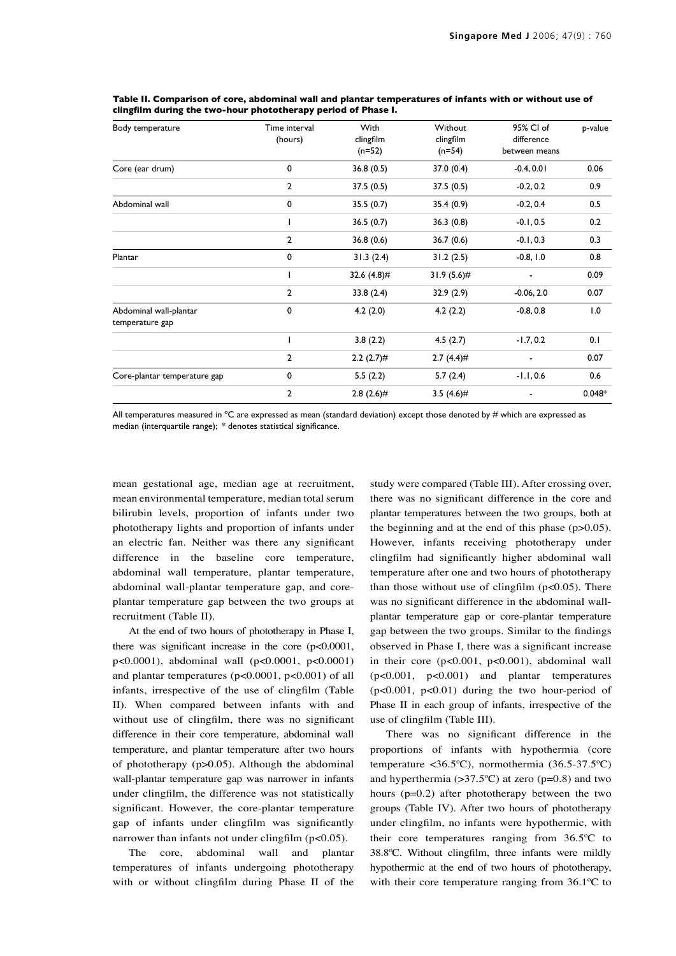| Body temperature                          | Time interval<br>(hours) | With<br>clingfilm<br>$(n=52)$ | Without<br>clingfilm<br>$(n=54)$ | 95% CI of<br>difference<br>between means | p-value  |
|-------------------------------------------|--------------------------|-------------------------------|----------------------------------|------------------------------------------|----------|
| Core (ear drum)                           | 0                        | 36.8(0.5)                     | 37.0(0.4)                        | $-0.4, 0.01$                             | 0.06     |
|                                           | $\overline{2}$           | 37.5(0.5)                     | 37.5(0.5)                        | $-0.2, 0.2$                              | 0.9      |
| Abdominal wall                            | 0                        | 35.5(0.7)                     | 35.4 (0.9)                       | $-0.2, 0.4$                              | 0.5      |
|                                           | ı                        | 36.5(0.7)                     | 36.3(0.8)                        | $-0.1, 0.5$                              | 0.2      |
|                                           | $\overline{2}$           | 36.8(0.6)                     | 36.7(0.6)                        | $-0.1, 0.3$                              | 0.3      |
| Plantar                                   | 0                        | 31.3(2.4)                     | 31.2(2.5)                        | $-0.8, 1.0$                              | 0.8      |
|                                           |                          | 32.6 $(4.8)$ #                | $31.9(5.6)$ #                    | $\overline{\phantom{a}}$                 | 0.09     |
|                                           | $\overline{2}$           | 33.8(2.4)                     | 32.9(2.9)                        | $-0.06, 2.0$                             | 0.07     |
| Abdominal wall-plantar<br>temperature gap | 0                        | 4.2(2.0)                      | 4.2(2.2)                         | $-0.8, 0.8$                              | 1.0      |
|                                           | I                        | 3.8(2.2)                      | 4.5(2.7)                         | $-1.7, 0.2$                              | 0.1      |
|                                           | $\overline{2}$           | $2.2(2.7)$ #                  | $2.7(4.4)$ #                     | $\overline{\phantom{a}}$                 | 0.07     |
| Core-plantar temperature gap              | 0                        | 5.5(2.2)                      | 5.7(2.4)                         | $-1.1, 0.6$                              | 0.6      |
|                                           | $\overline{2}$           | $2.8(2.6)$ #                  | 3.5 $(4.6)$ #                    |                                          | $0.048*$ |

**Table II. Comparison of core, abdominal wall and plantar temperatures of infants with or without use of clingfilm during the two-hour phototherapy period of Phase I.**

All temperatures measured in  $^{\circ}C$  are expressed as mean (standard deviation) except those denoted by # which are expressed as median (interquartile range); \* denotes statistical significance.

mean gestational age, median age at recruitment, mean environmental temperature, median total serum bilirubin levels, proportion of infants under two phototherapy lights and proportion of infants under an electric fan. Neither was there any significant difference in the baseline core temperature, abdominal wall temperature, plantar temperature, abdominal wall-plantar temperature gap, and coreplantar temperature gap between the two groups at recruitment (Table II).

At the end of two hours of phototherapy in Phase I, there was significant increase in the core (p<0.0001, p<0.0001), abdominal wall (p<0.0001, p<0.0001) and plantar temperatures (p<0.0001, p<0.001) of all infants, irrespective of the use of clingfilm (Table II). When compared between infants with and without use of clingfilm, there was no significant difference in their core temperature, abdominal wall temperature, and plantar temperature after two hours of phototherapy (p>0.05). Although the abdominal wall-plantar temperature gap was narrower in infants under clingfilm, the difference was not statistically significant. However, the core-plantar temperature gap of infants under clingfilm was significantly narrower than infants not under clingfilm  $(p<0.05)$ .

The core, abdominal wall and plantar temperatures of infants undergoing phototherapy with or without clingfilm during Phase II of the study were compared (Table III). After crossing over, there was no significant difference in the core and plantar temperatures between the two groups, both at the beginning and at the end of this phase (p>0.05). However, infants receiving phototherapy under clingfilm had significantly higher abdominal wall temperature after one and two hours of phototherapy than those without use of clingfilm (p<0.05). There was no significant difference in the abdominal wallplantar temperature gap or core-plantar temperature gap between the two groups. Similar to the findings observed in Phase I, there was a significant increase in their core (p<0.001, p<0.001), abdominal wall (p<0.001, p<0.001) and plantar temperatures  $(p<0.001, p<0.01)$  during the two hour-period of Phase II in each group of infants, irrespective of the use of clingfilm (Table III).

There was no significant difference in the proportions of infants with hypothermia (core temperature <36.5ºC), normothermia (36.5-37.5ºC) and hyperthermia  $(>37.5^{\circ}C)$  at zero (p=0.8) and two hours  $(p=0.2)$  after phototherapy between the two groups (Table IV). After two hours of phototherapy under clingfilm, no infants were hypothermic, with their core temperatures ranging from 36.5ºC to 38.8ºC. Without clingfilm, three infants were mildly hypothermic at the end of two hours of phototherapy, with their core temperature ranging from 36.1ºC to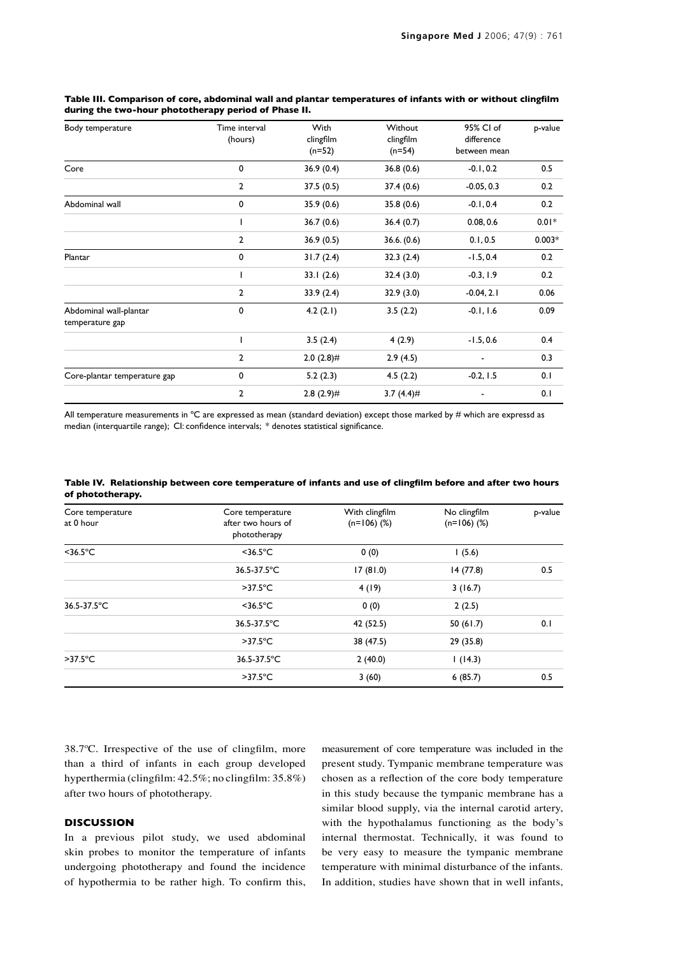| Body temperature                          | Time interval<br>(hours) | <b>With</b><br>clingfilm<br>$(n=52)$ | Without<br>clingfilm<br>$(n=54)$ | 95% CI of<br>difference<br>between mean | p-value  |
|-------------------------------------------|--------------------------|--------------------------------------|----------------------------------|-----------------------------------------|----------|
| Core                                      | $\mathbf 0$              | 36.9(0.4)                            | 36.8(0.6)                        | $-0.1, 0.2$                             | 0.5      |
|                                           | $\overline{2}$           | 37.5(0.5)                            | 37.4(0.6)                        | $-0.05, 0.3$                            | 0.2      |
| Abdominal wall                            | 0                        | 35.9(0.6)                            | 35.8(0.6)                        | $-0.1, 0.4$                             | 0.2      |
|                                           |                          | 36.7(0.6)                            | 36.4(0.7)                        | 0.08, 0.6                               | $0.01*$  |
|                                           | $\overline{2}$           | 36.9(0.5)                            | 36.6. (0.6)                      | 0.1, 0.5                                | $0.003*$ |
| Plantar                                   | 0                        | 31.7(2.4)                            | 32.3(2.4)                        | $-1.5, 0.4$                             | 0.2      |
|                                           |                          | 33.1(2.6)                            | 32.4(3.0)                        | $-0.3, 1.9$                             | 0.2      |
|                                           | $\overline{2}$           | 33.9(2.4)                            | 32.9(3.0)                        | $-0.04, 2.1$                            | 0.06     |
| Abdominal wall-plantar<br>temperature gap | $\mathbf 0$              | 4.2(2.1)                             | 3.5(2.2)                         | $-0.1, 1.6$                             | 0.09     |
|                                           |                          | 3.5(2.4)                             | 4(2.9)                           | $-1.5, 0.6$                             | 0.4      |
|                                           | $\overline{2}$           | $2.0(2.8)$ #                         | 2.9(4.5)                         |                                         | 0.3      |
| Core-plantar temperature gap              | 0                        | 5.2(2.3)                             | 4.5(2.2)                         | $-0.2, 1.5$                             | 0.1      |
|                                           | $\overline{2}$           | $2.8(2.9)$ #                         | 3.7 $(4.4)$ #                    |                                         | 0.1      |

# **Table III. Comparison of core, abdominal wall and plantar temperatures of infants with or without clingfilm during the two-hour phototherapy period of Phase II.**

All temperature measurements in  $^{\circ}$ C are expressed as mean (standard deviation) except those marked by # which are expressd as median (interquartile range); CI: confidence intervals; \* denotes statistical significance.

|                  | Table IV. Relationship between core temperature of infants and use of clingfilm before and after two hours |  |
|------------------|------------------------------------------------------------------------------------------------------------|--|
| of phototherapy. |                                                                                                            |  |

| Core temperature<br>at 0 hour | Core temperature<br>after two hours of<br>phototherapy | With clingfilm<br>$(n=106)$ (%) | No clingfilm<br>$(n=106)$ (%) | p-value |
|-------------------------------|--------------------------------------------------------|---------------------------------|-------------------------------|---------|
| $<$ 36.5 $^{\circ}$ C         | $<$ 36.5 $^{\circ}$ C                                  | 0(0)                            | 1(5.6)                        |         |
|                               | 36.5-37.5°C                                            | 17(81.0)                        | 14(77.8)                      | 0.5     |
|                               | $>37.5^{\circ}$ C                                      | 4(19)                           | 3(16.7)                       |         |
| 36.5-37.5°C                   | $<$ 36.5 $^{\circ}$ C                                  | 0(0)                            | 2(2.5)                        |         |
|                               | 36.5-37.5°C                                            | 42 (52.5)                       | 50(61.7)                      | 0.1     |
|                               | $>37.5^{\circ}$ C                                      | 38 (47.5)                       | 29 (35.8)                     |         |
| $>37.5^{\circ}$ C             | 36.5-37.5°C                                            | 2(40.0)                         | 1(14.3)                       |         |
|                               | $>37.5^{\circ}$ C                                      | 3(60)                           | 6(85.7)                       | 0.5     |

38.7ºC. Irrespective of the use of clingfilm, more than a third of infants in each group developed hyperthermia (clingfilm: 42.5%; no clingfilm: 35.8%) after two hours of phototherapy.

## **DISCUSSION**

In a previous pilot study, we used abdominal skin probes to monitor the temperature of infants undergoing phototherapy and found the incidence of hypothermia to be rather high. To confirm this, measurement of core temperature was included in the present study. Tympanic membrane temperature was chosen as a reflection of the core body temperature in this study because the tympanic membrane has a similar blood supply, via the internal carotid artery, with the hypothalamus functioning as the body's internal thermostat. Technically, it was found to be very easy to measure the tympanic membrane temperature with minimal disturbance of the infants. In addition, studies have shown that in well infants,